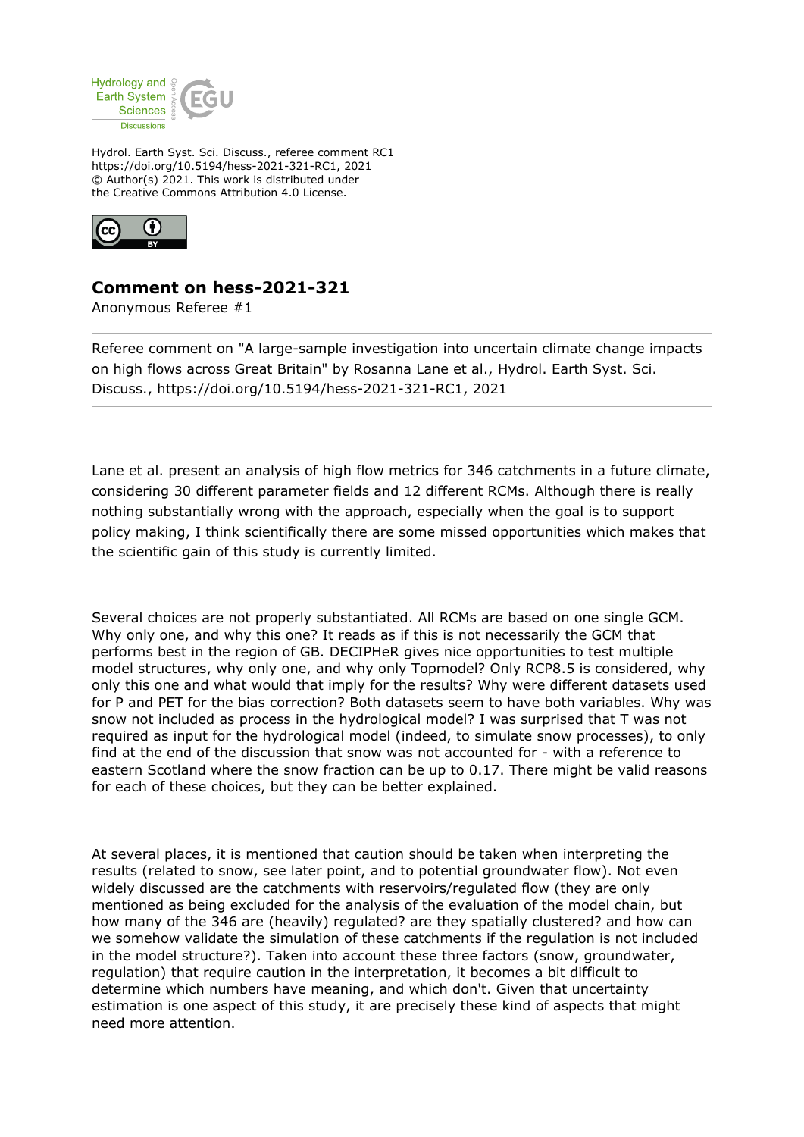

Hydrol. Earth Syst. Sci. Discuss., referee comment RC1 https://doi.org/10.5194/hess-2021-321-RC1, 2021 © Author(s) 2021. This work is distributed under the Creative Commons Attribution 4.0 License.



## **Comment on hess-2021-321**

Anonymous Referee #1

Referee comment on "A large-sample investigation into uncertain climate change impacts on high flows across Great Britain" by Rosanna Lane et al., Hydrol. Earth Syst. Sci. Discuss., https://doi.org/10.5194/hess-2021-321-RC1, 2021

Lane et al. present an analysis of high flow metrics for 346 catchments in a future climate, considering 30 different parameter fields and 12 different RCMs. Although there is really nothing substantially wrong with the approach, especially when the goal is to support policy making, I think scientifically there are some missed opportunities which makes that the scientific gain of this study is currently limited.

Several choices are not properly substantiated. All RCMs are based on one single GCM. Why only one, and why this one? It reads as if this is not necessarily the GCM that performs best in the region of GB. DECIPHeR gives nice opportunities to test multiple model structures, why only one, and why only Topmodel? Only RCP8.5 is considered, why only this one and what would that imply for the results? Why were different datasets used for P and PET for the bias correction? Both datasets seem to have both variables. Why was snow not included as process in the hydrological model? I was surprised that T was not required as input for the hydrological model (indeed, to simulate snow processes), to only find at the end of the discussion that snow was not accounted for - with a reference to eastern Scotland where the snow fraction can be up to 0.17. There might be valid reasons for each of these choices, but they can be better explained.

At several places, it is mentioned that caution should be taken when interpreting the results (related to snow, see later point, and to potential groundwater flow). Not even widely discussed are the catchments with reservoirs/regulated flow (they are only mentioned as being excluded for the analysis of the evaluation of the model chain, but how many of the 346 are (heavily) regulated? are they spatially clustered? and how can we somehow validate the simulation of these catchments if the regulation is not included in the model structure?). Taken into account these three factors (snow, groundwater, regulation) that require caution in the interpretation, it becomes a bit difficult to determine which numbers have meaning, and which don't. Given that uncertainty estimation is one aspect of this study, it are precisely these kind of aspects that might need more attention.